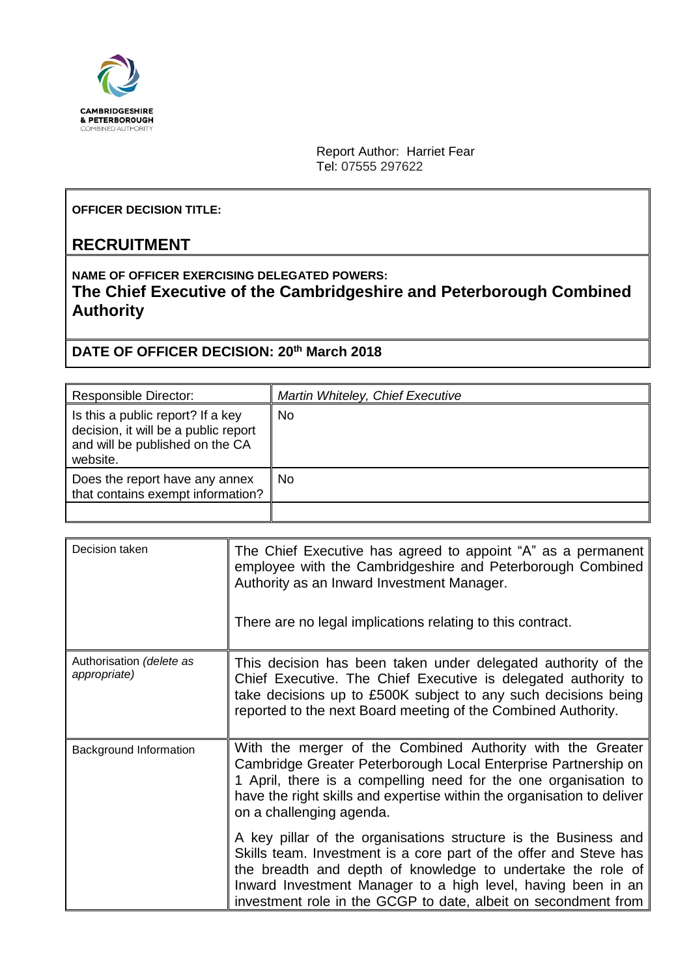

Report Author: Harriet Fear Tel: 07555 297622

## **OFFICER DECISION TITLE:**

## **RECRUITMENT**

## **NAME OF OFFICER EXERCISING DELEGATED POWERS: The Chief Executive of the Cambridgeshire and Peterborough Combined Authority**

## **DATE OF OFFICER DECISION: 20th March 2018**

| <b>Responsible Director:</b>                                                                                             | Martin Whiteley, Chief Executive |
|--------------------------------------------------------------------------------------------------------------------------|----------------------------------|
| Is this a public report? If a key<br>decision, it will be a public report<br>and will be published on the CA<br>website. | <b>No</b>                        |
| Does the report have any annex<br>that contains exempt information?                                                      | <b>No</b>                        |
|                                                                                                                          |                                  |

| Decision taken                           | The Chief Executive has agreed to appoint "A" as a permanent<br>employee with the Cambridgeshire and Peterborough Combined<br>Authority as an Inward Investment Manager.<br>There are no legal implications relating to this contract.                                                                                                                                                                                                                                                                       |
|------------------------------------------|--------------------------------------------------------------------------------------------------------------------------------------------------------------------------------------------------------------------------------------------------------------------------------------------------------------------------------------------------------------------------------------------------------------------------------------------------------------------------------------------------------------|
| Authorisation (delete as<br>appropriate) | This decision has been taken under delegated authority of the<br>Chief Executive. The Chief Executive is delegated authority to<br>take decisions up to £500K subject to any such decisions being<br>reported to the next Board meeting of the Combined Authority.                                                                                                                                                                                                                                           |
| Background Information                   | With the merger of the Combined Authority with the Greater<br>Cambridge Greater Peterborough Local Enterprise Partnership on<br>1 April, there is a compelling need for the one organisation to<br>have the right skills and expertise within the organisation to deliver<br>on a challenging agenda.<br>A key pillar of the organisations structure is the Business and<br>Skills team. Investment is a core part of the offer and Steve has<br>the breadth and depth of knowledge to undertake the role of |
|                                          | Inward Investment Manager to a high level, having been in an<br>investment role in the GCGP to date, albeit on secondment from                                                                                                                                                                                                                                                                                                                                                                               |